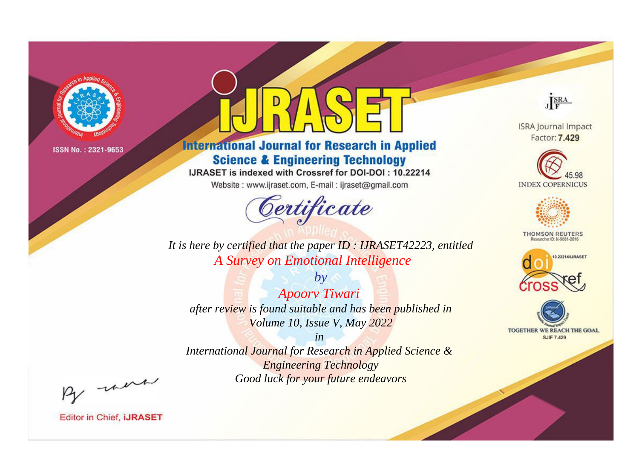

# **International Journal for Research in Applied Science & Engineering Technology**

IJRASET is indexed with Crossref for DOI-DOI: 10.22214

Website: www.ijraset.com, E-mail: ijraset@gmail.com



**ISRA Journal Impact** Factor: 7.429

JERA





**THOMSON REUTERS** 



TOGETHER WE REACH THE GOAL **SJIF 7.429** 

*It is here by certified that the paper ID : IJRASET42223, entitled A Survey on Emotional Intelligence*

*by Apoorv Tiwari after review is found suitable and has been published in Volume 10, Issue V, May 2022*

*in* 

*International Journal for Research in Applied Science & Engineering Technology Good luck for your future endeavors*

By morn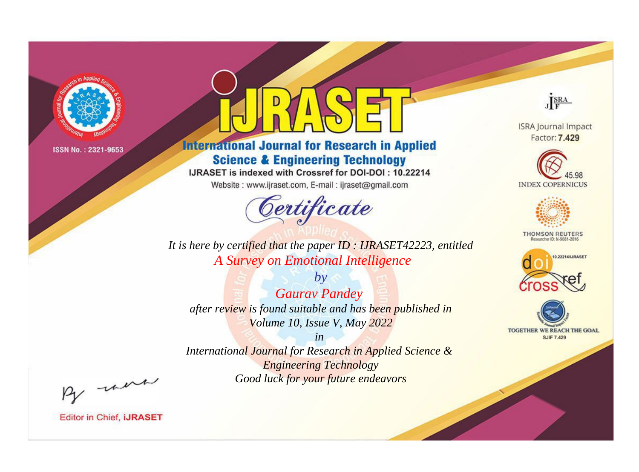

# **International Journal for Research in Applied Science & Engineering Technology**

IJRASET is indexed with Crossref for DOI-DOI: 10.22214

Website: www.ijraset.com, E-mail: ijraset@gmail.com



**ISRA Journal Impact** 

JERA

Factor: 7.429





**THOMSON REUTERS** 



TOGETHER WE REACH THE GOAL **SJIF 7.429** 

*It is here by certified that the paper ID : IJRASET42223, entitled A Survey on Emotional Intelligence*

*by Gaurav Pandey after review is found suitable and has been published in Volume 10, Issue V, May 2022*

*in* 

*International Journal for Research in Applied Science & Engineering Technology Good luck for your future endeavors*

By morn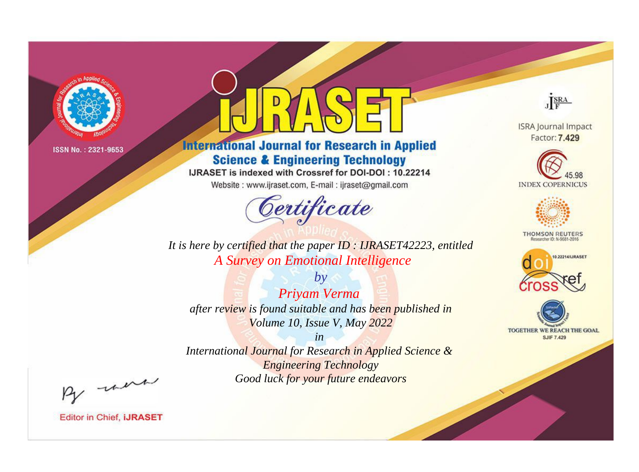

# **International Journal for Research in Applied Science & Engineering Technology**

IJRASET is indexed with Crossref for DOI-DOI: 10.22214

Website: www.ijraset.com, E-mail: ijraset@gmail.com



**ISRA Journal Impact** Factor: 7.429

JERA





**THOMSON REUTERS** 



TOGETHER WE REACH THE GOAL **SJIF 7.429** 

*It is here by certified that the paper ID : IJRASET42223, entitled A Survey on Emotional Intelligence*

*by Priyam Verma after review is found suitable and has been published in Volume 10, Issue V, May 2022*

*in* 

*International Journal for Research in Applied Science & Engineering Technology Good luck for your future endeavors*

By morn